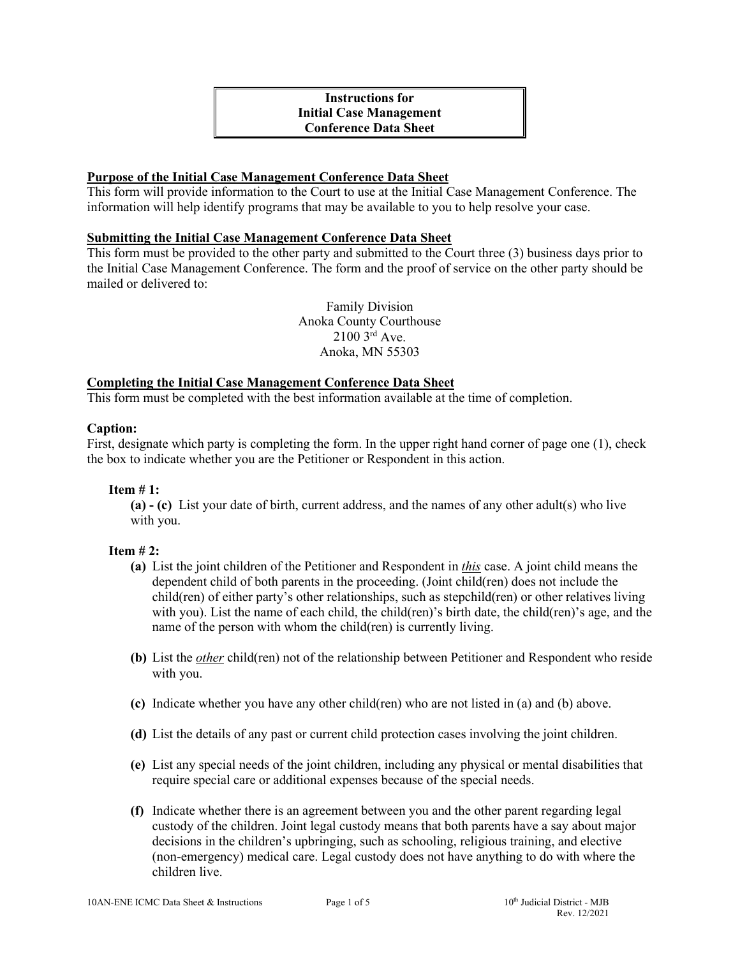# **Instructions for Initial Case Management Conference Data Sheet**

## **Purpose of the Initial Case Management Conference Data Sheet**

This form will provide information to the Court to use at the Initial Case Management Conference. The information will help identify programs that may be available to you to help resolve your case.

#### **Submitting the Initial Case Management Conference Data Sheet**

This form must be provided to the other party and submitted to the Court three (3) business days prior to the Initial Case Management Conference. The form and the proof of service on the other party should be mailed or delivered to:

> Family Division Anoka County Courthouse 2100 3rd Ave. Anoka, MN 55303

# **Completing the Initial Case Management Conference Data Sheet**

This form must be completed with the best information available at the time of completion.

#### **Caption:**

First, designate which party is completing the form. In the upper right hand corner of page one (1), check the box to indicate whether you are the Petitioner or Respondent in this action.

#### **Item # 1:**

**(a) - (c)** List your date of birth, current address, and the names of any other adult(s) who live with you.

#### **Item # 2:**

- **(a)** List the joint children of the Petitioner and Respondent in *this* case. A joint child means the dependent child of both parents in the proceeding. (Joint child(ren) does not include the child(ren) of either party's other relationships, such as stepchild(ren) or other relatives living with you). List the name of each child, the child(ren)'s birth date, the child(ren)'s age, and the name of the person with whom the child(ren) is currently living.
- **(b)** List the *other* child(ren) not of the relationship between Petitioner and Respondent who reside with you.
- **(c)** Indicate whether you have any other child(ren) who are not listed in (a) and (b) above.
- **(d)** List the details of any past or current child protection cases involving the joint children.
- **(e)** List any special needs of the joint children, including any physical or mental disabilities that require special care or additional expenses because of the special needs.
- **(f)** Indicate whether there is an agreement between you and the other parent regarding legal custody of the children. Joint legal custody means that both parents have a say about major decisions in the children's upbringing, such as schooling, religious training, and elective (non-emergency) medical care. Legal custody does not have anything to do with where the children live.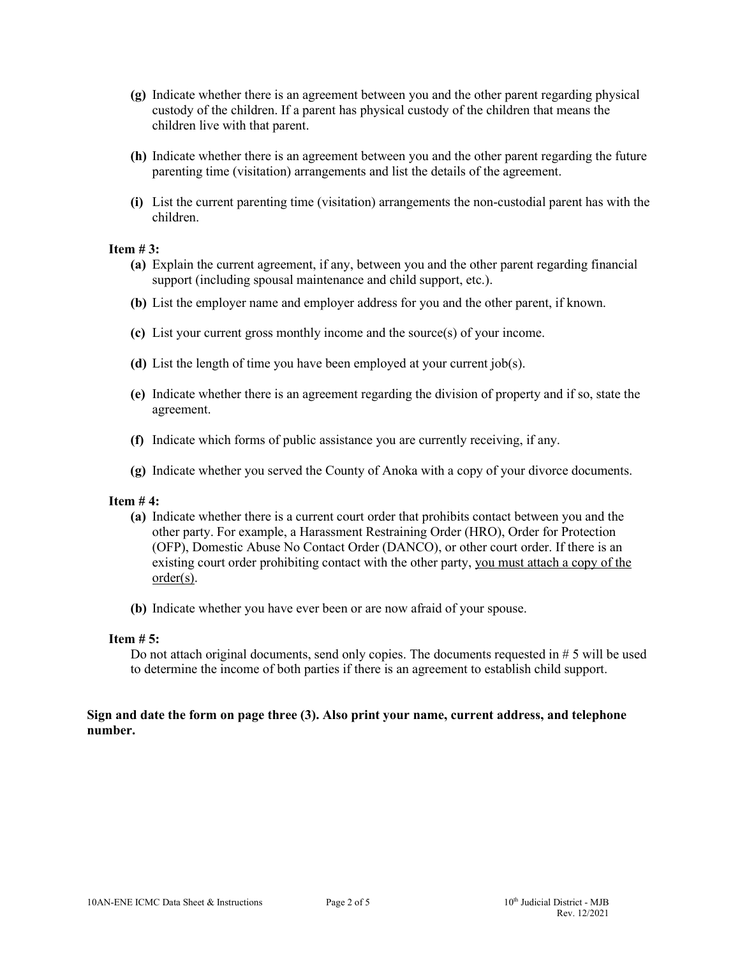- **(g)** Indicate whether there is an agreement between you and the other parent regarding physical custody of the children. If a parent has physical custody of the children that means the children live with that parent.
- **(h)** Indicate whether there is an agreement between you and the other parent regarding the future parenting time (visitation) arrangements and list the details of the agreement.
- **(i)** List the current parenting time (visitation) arrangements the non-custodial parent has with the children.

#### **Item # 3:**

- **(a)** Explain the current agreement, if any, between you and the other parent regarding financial support (including spousal maintenance and child support, etc.).
- **(b)** List the employer name and employer address for you and the other parent, if known.
- **(c)** List your current gross monthly income and the source(s) of your income.
- **(d)** List the length of time you have been employed at your current job(s).
- **(e)** Indicate whether there is an agreement regarding the division of property and if so, state the agreement.
- **(f)** Indicate which forms of public assistance you are currently receiving, if any.
- **(g)** Indicate whether you served the County of Anoka with a copy of your divorce documents.

#### **Item # 4:**

- **(a)** Indicate whether there is a current court order that prohibits contact between you and the other party. For example, a Harassment Restraining Order (HRO), Order for Protection (OFP), Domestic Abuse No Contact Order (DANCO), or other court order. If there is an existing court order prohibiting contact with the other party, you must attach a copy of the order(s).
- **(b)** Indicate whether you have ever been or are now afraid of your spouse.

#### **Item # 5:**

Do not attach original documents, send only copies. The documents requested in  $# 5$  will be used to determine the income of both parties if there is an agreement to establish child support.

## **Sign and date the form on page three (3). Also print your name, current address, and telephone number.**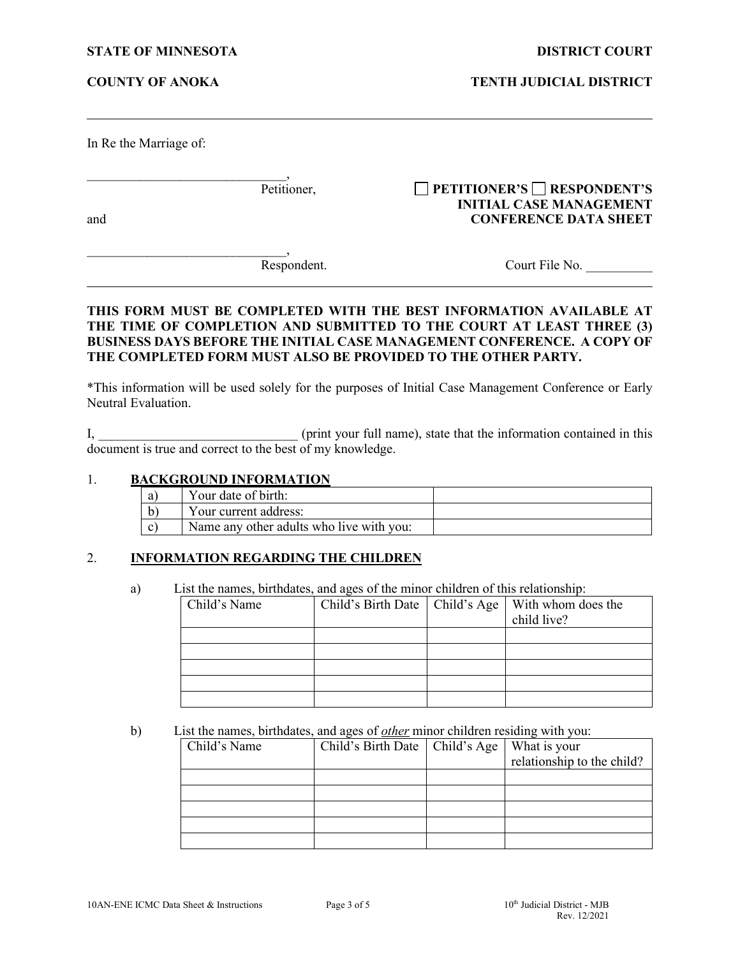**COUNTY OF ANOKA TENTH JUDICIAL DISTRICT**

In Re the Marriage of:

\_\_\_\_\_\_\_\_\_\_\_\_\_\_\_\_\_\_\_\_\_\_\_\_\_\_\_\_\_\_, Petitioner, **PETITIONER'S RESPONDENT'S**

and **CONFERENCE DATA SHEET**

\_\_\_\_\_\_\_\_\_\_\_\_\_\_\_\_\_\_\_\_\_\_\_\_\_\_\_\_\_\_,

Respondent. Court File No.

**INITIAL CASE MANAGEMENT**

## **THIS FORM MUST BE COMPLETED WITH THE BEST INFORMATION AVAILABLE AT THE TIME OF COMPLETION AND SUBMITTED TO THE COURT AT LEAST THREE (3) BUSINESS DAYS BEFORE THE INITIAL CASE MANAGEMENT CONFERENCE. A COPY OF THE COMPLETED FORM MUST ALSO BE PROVIDED TO THE OTHER PARTY.**

\*This information will be used solely for the purposes of Initial Case Management Conference or Early Neutral Evaluation.

I, \_\_\_\_\_\_\_\_\_\_\_\_\_\_\_\_\_\_\_\_\_\_\_\_\_\_\_\_\_\_ (print your full name), state that the information contained in this document is true and correct to the best of my knowledge.

### 1. **BACKGROUND INFORMATION**

| a            | Your date of birth:                      |  |
|--------------|------------------------------------------|--|
|              | Your current address:                    |  |
| $\mathbf{C}$ | Name any other adults who live with you: |  |

## 2. **INFORMATION REGARDING THE CHILDREN**

a) List the names, birthdates, and ages of the minor children of this relationship:

| Child's Name |  | Child's Birth Date   Child's Age   With whom does the<br>child live? |
|--------------|--|----------------------------------------------------------------------|
|              |  |                                                                      |
|              |  |                                                                      |
|              |  |                                                                      |
|              |  |                                                                      |
|              |  |                                                                      |

## b) List the names, birthdates, and ages of *other* minor children residing with you:

| Child's Name | Child's Birth Date   Child's Age | What is your               |
|--------------|----------------------------------|----------------------------|
|              |                                  | relationship to the child? |
|              |                                  |                            |
|              |                                  |                            |
|              |                                  |                            |
|              |                                  |                            |
|              |                                  |                            |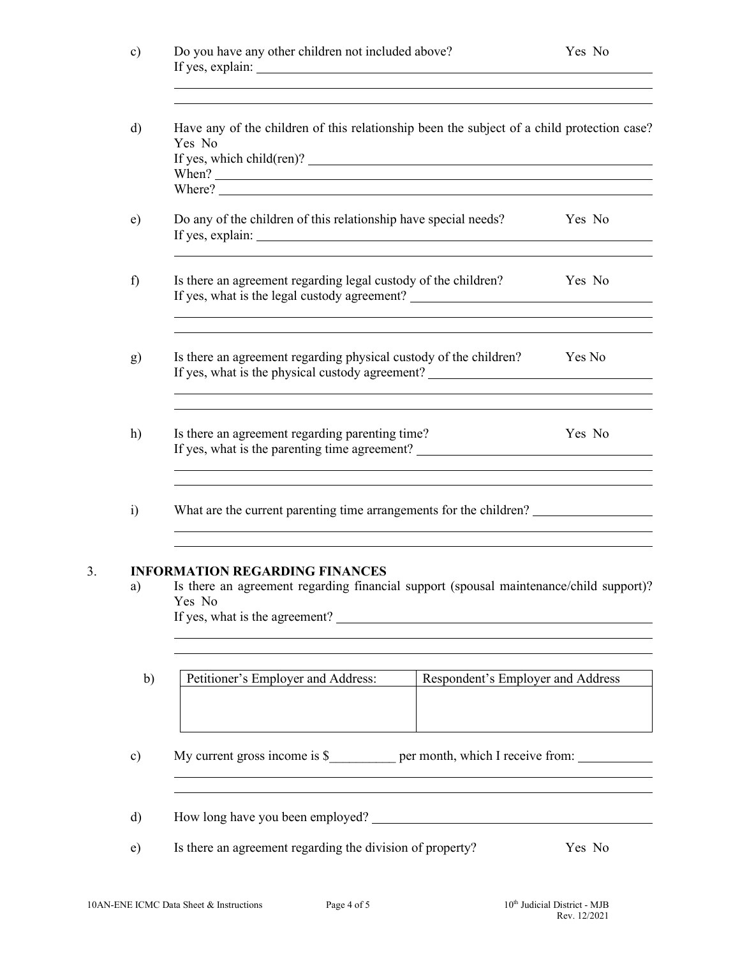| c) | Do you have any other children not included above? | Yes No |
|----|----------------------------------------------------|--------|
|    | If yes, explain:                                   |        |

| Where?                                                                                                                                                 |        |
|--------------------------------------------------------------------------------------------------------------------------------------------------------|--------|
| Do any of the children of this relationship have special needs?                                                                                        | Yes No |
| Is there an agreement regarding legal custody of the children?<br>If yes, what is the legal custody agreement?                                         | Yes No |
| Is there an agreement regarding physical custody of the children?<br>If yes, what is the physical custody agreement? _________________________________ | Yes No |
| Is there an agreement regarding parenting time?<br>If yes, what is the parenting time agreement?                                                       | Yes No |
| What are the current parenting time arrangements for the children?                                                                                     |        |

## 3. **INFORMATION REGARDING FINANCES**

a) Is there an agreement regarding financial support (spousal maintenance/child support)? Yes No If yes, what is the agreement?

| Petitioner's Employer and Address: | Respondent's Employer and Address |
|------------------------------------|-----------------------------------|
|                                    |                                   |
|                                    |                                   |
|                                    |                                   |

c) My current gross income is \$\_\_\_\_\_\_\_ per month, which I receive from: \_\_\_\_\_\_\_\_

- d) How long have you been employed?
- e) Is there an agreement regarding the division of property? Yes No